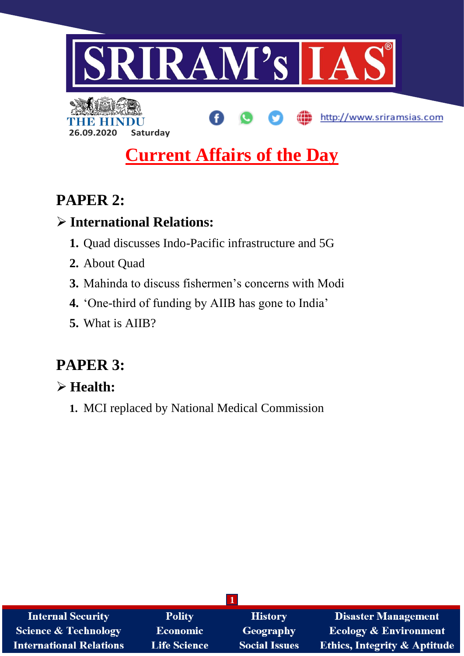

# **Current Affairs of the Day**

# **PAPER 2:**

# **International Relations:**

**26.09.2020 Saturday**

- **1.** Quad discusses Indo-Pacific infrastructure and 5G
- **2.** About Quad
- **3.** Mahinda to discuss fishermen's concerns with Modi
- **4.** 'One-third of funding by AIIB has gone to India'
- **5.** What is AIIB?

# **PAPER 3:**

# **Health:**

**1.** MCI replaced by National Medical Commission

| <b>Internal Security</b>        | <b>Polity</b>       | <b>History</b>       | <b>Disaster Management</b>              |
|---------------------------------|---------------------|----------------------|-----------------------------------------|
| <b>Science &amp; Technology</b> | <b>Economic</b>     | Geography            | <b>Ecology &amp; Environment</b>        |
| <b>International Relations</b>  | <b>Life Science</b> | <b>Social Issues</b> | <b>Ethics, Integrity &amp; Aptitude</b> |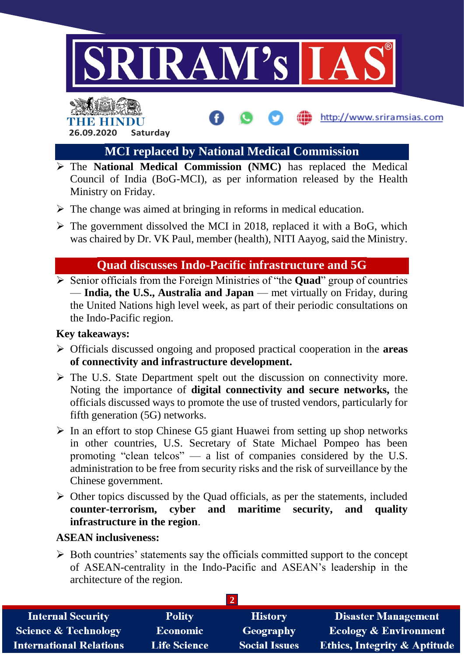



**MCI replaced by National Medical Commission**

http://www.sriramsias.com

- The **National Medical Commission (NMC)** has replaced the Medical Council of India (BoG-MCI), as per information released by the Health Ministry on Friday.
- $\triangleright$  The change was aimed at bringing in reforms in medical education.
- $\triangleright$  The government dissolved the MCI in 2018, replaced it with a BoG, which was chaired by Dr. VK Paul, member (health), NITI Aayog, said the Ministry.

# **Quad discusses Indo-Pacific infrastructure and 5G**

 Senior officials from the Foreign Ministries of "the **Quad**" group of countries — **India, the U.S., Australia and Japan** — met virtually on Friday, during the United Nations high level week, as part of their periodic consultations on the Indo-Pacific region.

## **Key takeaways:**

- Officials discussed ongoing and proposed practical cooperation in the **areas of connectivity and infrastructure development.**
- $\triangleright$  The U.S. State Department spelt out the discussion on connectivity more. Noting the importance of **digital connectivity and secure networks,** the officials discussed ways to promote the use of trusted vendors, particularly for fifth generation (5G) networks.
- $\triangleright$  In an effort to stop Chinese G5 giant Huawei from setting up shop networks in other countries, U.S. Secretary of State Michael Pompeo has been promoting "clean telcos" — a list of companies considered by the U.S. administration to be free from security risks and the risk of surveillance by the Chinese government.
- $\triangleright$  Other topics discussed by the Quad officials, as per the statements, included **counter-terrorism, cyber and maritime security, and quality infrastructure in the region**.

### **ASEAN inclusiveness:**

 $\triangleright$  Both countries' statements say the officials committed support to the concept of ASEAN-centrality in the Indo-Pacific and ASEAN's leadership in the architecture of the region.

| <b>Internal Security</b>        | <b>Polity</b>       | <b>History</b>       | <b>Disaster Management</b>              |
|---------------------------------|---------------------|----------------------|-----------------------------------------|
| <b>Science &amp; Technology</b> | <b>Economic</b>     | Geography            | <b>Ecology &amp; Environment</b>        |
| <b>International Relations</b>  | <b>Life Science</b> | <b>Social Issues</b> | <b>Ethics, Integrity &amp; Aptitude</b> |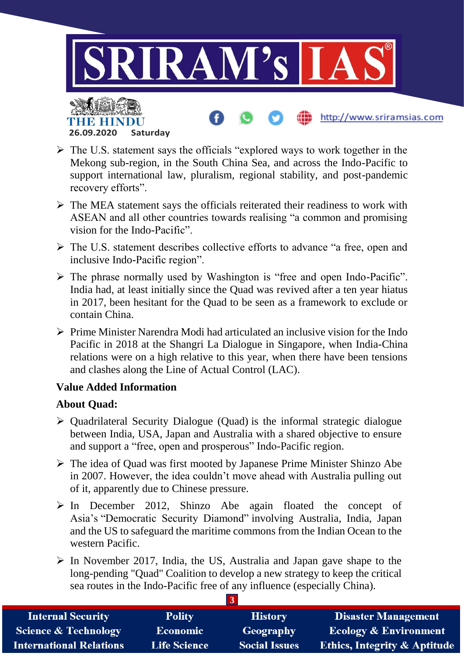

- $\triangleright$  The U.S. statement says the officials "explored ways to work together in the Mekong sub-region, in the South China Sea, and across the Indo-Pacific to support international law, pluralism, regional stability, and post-pandemic recovery efforts".
- $\triangleright$  The MEA statement says the officials reiterated their readiness to work with ASEAN and all other countries towards realising "a common and promising vision for the Indo-Pacific".
- The U.S. statement describes collective efforts to advance "a free, open and inclusive Indo-Pacific region".
- $\triangleright$  The phrase normally used by Washington is "free and open Indo-Pacific". India had, at least initially since the Quad was revived after a ten year hiatus in 2017, been hesitant for the Quad to be seen as a framework to exclude or contain China.
- $\triangleright$  Prime Minister Narendra Modi had articulated an inclusive vision for the Indo Pacific in 2018 at the Shangri La Dialogue in Singapore, when India-China relations were on a high relative to this year, when there have been tensions and clashes along the Line of Actual Control (LAC).

### **Value Added Information**

**26.09.2020 Saturday**

### **About Quad:**

- $\triangleright$  Quadrilateral Security Dialogue (Quad) is the informal strategic dialogue between India, USA, Japan and Australia with a shared objective to ensure and support a "free, open and prosperous" Indo-Pacific region.
- The idea of Quad was first mooted by Japanese Prime Minister Shinzo Abe in 2007. However, the idea couldn't move ahead with Australia pulling out of it, apparently due to Chinese pressure.
- $\triangleright$  In December 2012, Shinzo Abe again floated the concept of Asia's "Democratic Security Diamond" involving Australia, India, Japan and the US to safeguard the maritime commons from the Indian Ocean to the western Pacific.
- $\triangleright$  In November 2017, India, the US, Australia and Japan gave shape to the long-pending "Quad" Coalition to develop a new strategy to keep the critical sea routes in the Indo-Pacific free of any influence (especially China).

| <b>Internal Security</b>        | <b>Polity</b>       | <b>History</b>       | <b>Disaster Management</b>              |  |
|---------------------------------|---------------------|----------------------|-----------------------------------------|--|
| <b>Science &amp; Technology</b> | <b>Economic</b>     | Geography            | <b>Ecology &amp; Environment</b>        |  |
| <b>International Relations</b>  | <b>Life Science</b> | <b>Social Issues</b> | <b>Ethics, Integrity &amp; Aptitude</b> |  |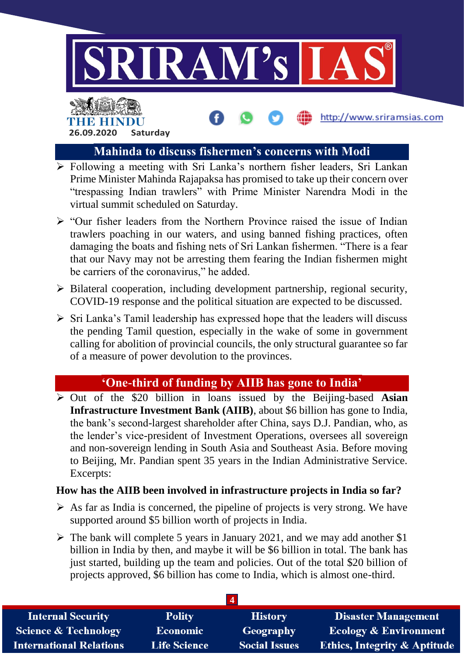

http://www.sriramsias.com

# THE BELLET **26.09.2020 Saturday**

# **Mahinda to discuss fishermen's concerns with Modi**

- **Following a meeting with Sri Lanka's northern fisher leaders, Sri Lankan** Prime Minister Mahinda Rajapaksa has promised to take up their concern over "trespassing Indian trawlers" with Prime Minister Narendra Modi in the virtual summit scheduled on Saturday.
- $\triangleright$  "Our fisher leaders from the Northern Province raised the issue of Indian trawlers poaching in our waters, and using banned fishing practices, often damaging the boats and fishing nets of Sri Lankan fishermen. "There is a fear that our Navy may not be arresting them fearing the Indian fishermen might be carriers of the coronavirus," he added.
- $\triangleright$  Bilateral cooperation, including development partnership, regional security, COVID-19 response and the political situation are expected to be discussed.
- $\triangleright$  Sri Lanka's Tamil leadership has expressed hope that the leaders will discuss the pending Tamil question, especially in the wake of some in government calling for abolition of provincial councils, the only structural guarantee so far of a measure of power devolution to the provinces.

# **'One-third of funding by AIIB has gone to India'**

 Out of the \$20 billion in loans issued by the Beijing-based **Asian Infrastructure Investment Bank (AIIB)**, about \$6 billion has gone to India, the bank's second-largest shareholder after China, says D.J. Pandian, who, as the lender's vice-president of Investment Operations, oversees all sovereign and non-sovereign lending in South Asia and Southeast Asia. Before moving to Beijing, Mr. Pandian spent 35 years in the Indian Administrative Service. Excerpts:

## **How has the AIIB been involved in infrastructure projects in India so far?**

- $\triangleright$  As far as India is concerned, the pipeline of projects is very strong. We have supported around \$5 billion worth of projects in India.
- $\triangleright$  The bank will complete 5 years in January 2021, and we may add another \$1 billion in India by then, and maybe it will be \$6 billion in total. The bank has just started, building up the team and policies. Out of the total \$20 billion of projects approved, \$6 billion has come to India, which is almost one-third.

| <b>Internal Security</b>        | <b>Polity</b>       | <b>History</b>       | <b>Disaster Management</b>              |
|---------------------------------|---------------------|----------------------|-----------------------------------------|
| <b>Science &amp; Technology</b> | <b>Economic</b>     | Geography            | <b>Ecology &amp; Environment</b>        |
| <b>International Relations</b>  | <b>Life Science</b> | <b>Social Issues</b> | <b>Ethics, Integrity &amp; Aptitude</b> |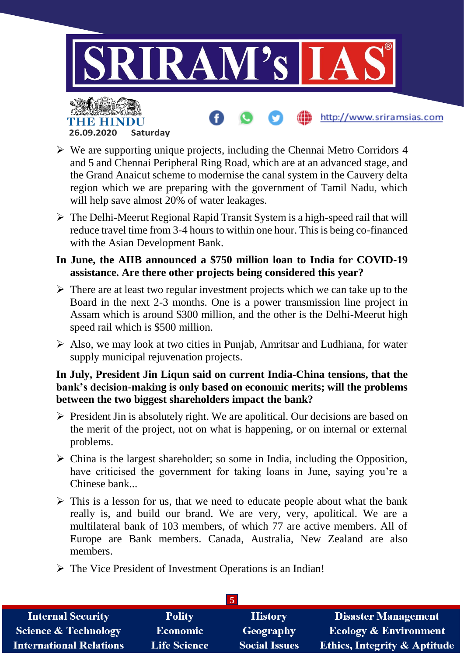

# $\triangleright$  We are supporting unique projects, including the Chennai Metro Corridors 4 and 5 and Chennai Peripheral Ring Road, which are at an advanced stage, and the Grand Anaicut scheme to modernise the canal system in the Cauvery delta region which we are preparing with the government of Tamil Nadu, which will help save almost 20% of water leakages.

**26.09.2020 Saturday**

- $\triangleright$  The Delhi-Meerut Regional Rapid Transit System is a high-speed rail that will reduce travel time from 3-4 hours to within one hour. This is being co-financed with the Asian Development Bank.
- **In June, the AIIB announced a \$750 million loan to India for COVID-19 assistance. Are there other projects being considered this year?**
- $\triangleright$  There are at least two regular investment projects which we can take up to the Board in the next 2-3 months. One is a power transmission line project in Assam which is around \$300 million, and the other is the Delhi-Meerut high speed rail which is \$500 million.
- $\triangleright$  Also, we may look at two cities in Punjab, Amritsar and Ludhiana, for water supply municipal rejuvenation projects.

### **In July, President Jin Liqun said on current India-China tensions, that the bank's decision-making is only based on economic merits; will the problems between the two biggest shareholders impact the bank?**

- $\triangleright$  President Jin is absolutely right. We are apolitical. Our decisions are based on the merit of the project, not on what is happening, or on internal or external problems.
- $\triangleright$  China is the largest shareholder; so some in India, including the Opposition, have criticised the government for taking loans in June, saying you're a Chinese bank...
- $\triangleright$  This is a lesson for us, that we need to educate people about what the bank really is, and build our brand. We are very, very, apolitical. We are a multilateral bank of 103 members, of which 77 are active members. All of Europe are Bank members. Canada, Australia, New Zealand are also members.
- $\triangleright$  The Vice President of Investment Operations is an Indian!

| <b>Internal Security</b>        | <b>Polity</b>       | <b>History</b>       | <b>Disaster Management</b>              |  |
|---------------------------------|---------------------|----------------------|-----------------------------------------|--|
| <b>Science &amp; Technology</b> | <b>Economic</b>     | Geography            | <b>Ecology &amp; Environment</b>        |  |
| <b>International Relations</b>  | <b>Life Science</b> | <b>Social Issues</b> | <b>Ethics, Integrity &amp; Aptitude</b> |  |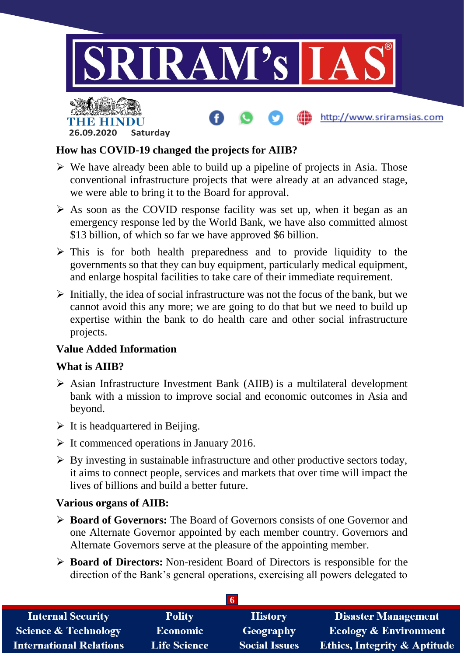

### **How has COVID-19 changed the projects for AIIB?**

- $\triangleright$  We have already been able to build up a pipeline of projects in Asia. Those conventional infrastructure projects that were already at an advanced stage, we were able to bring it to the Board for approval.
- $\triangleright$  As soon as the COVID response facility was set up, when it began as an emergency response led by the World Bank, we have also committed almost \$13 billion, of which so far we have approved \$6 billion.
- $\triangleright$  This is for both health preparedness and to provide liquidity to the governments so that they can buy equipment, particularly medical equipment, and enlarge hospital facilities to take care of their immediate requirement.
- $\triangleright$  Initially, the idea of social infrastructure was not the focus of the bank, but we cannot avoid this any more; we are going to do that but we need to build up expertise within the bank to do health care and other social infrastructure projects.

### **Value Added Information**

**26.09.2020 Saturday**

### **What is AIIB?**

- $\triangleright$  Asian Infrastructure Investment Bank (AIIB) is a multilateral development bank with a mission to improve social and economic outcomes in Asia and beyond.
- $\triangleright$  It is headquartered in Beijing.
- $\triangleright$  It commenced operations in January 2016.
- $\triangleright$  By investing in sustainable infrastructure and other productive sectors today, it aims to connect people, services and markets that over time will impact the lives of billions and build a better future.

#### **Various organs of AIIB:**

- **Board of Governors:** The Board of Governors consists of one Governor and one Alternate Governor appointed by each member country. Governors and Alternate Governors serve at the pleasure of the appointing member.
- **Board of Directors:** Non-resident Board of Directors is responsible for the direction of the Bank's general operations, exercising all powers delegated to

| <b>Internal Security</b>        | <b>Polity</b>       | <b>History</b>       | <b>Disaster Management</b>              |  |
|---------------------------------|---------------------|----------------------|-----------------------------------------|--|
| <b>Science &amp; Technology</b> | <b>Economic</b>     | Geography            | <b>Ecology &amp; Environment</b>        |  |
| <b>International Relations</b>  | <b>Life Science</b> | <b>Social Issues</b> | <b>Ethics, Integrity &amp; Aptitude</b> |  |